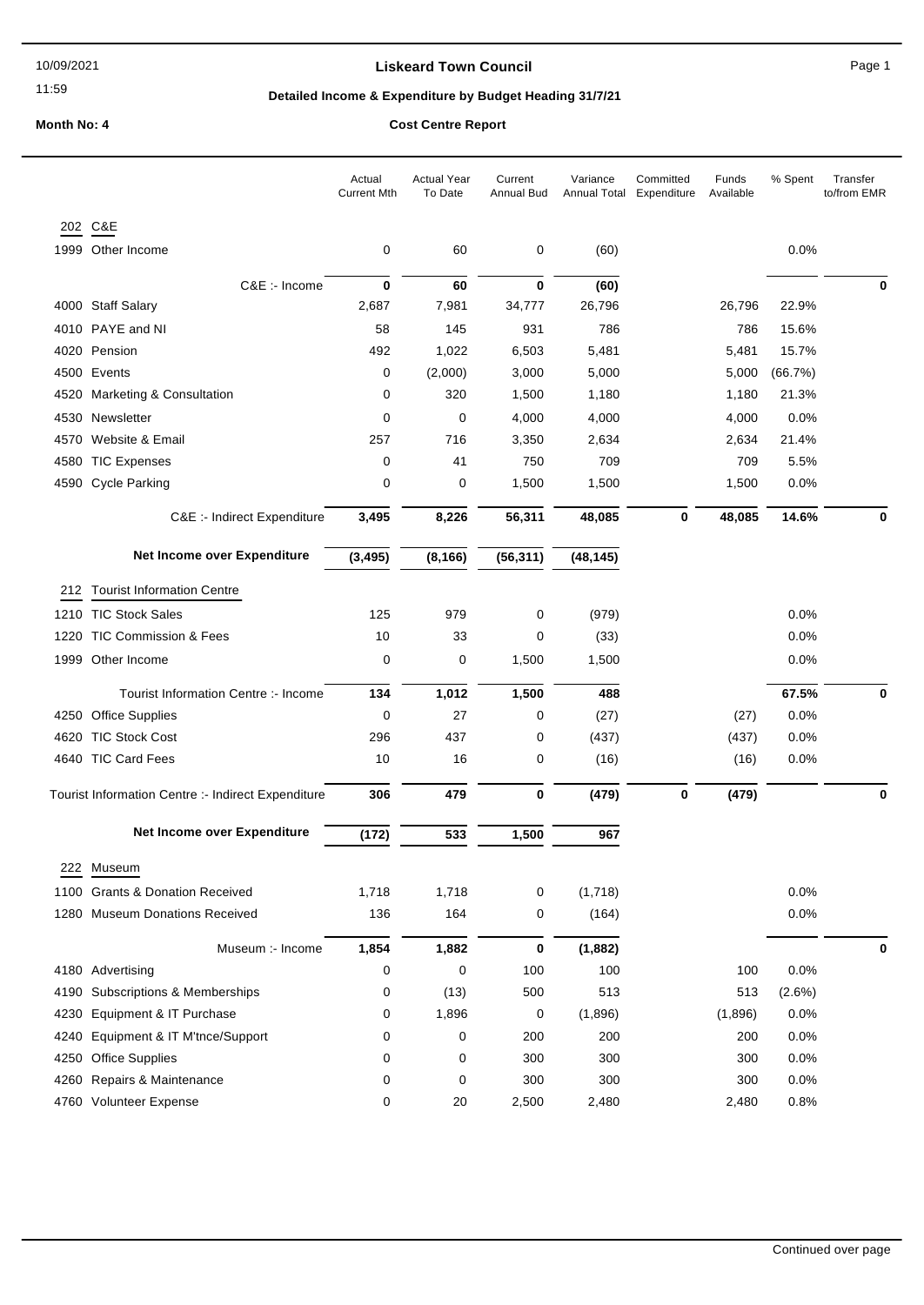11:59

### **Liskeard Town Council Canadian Council** Page 1

# **Detailed Income & Expenditure by Budget Heading 31/7/21**

# **Month No: 4 Cost Centre Report**

|      |                                                    | Actual<br><b>Current Mth</b> | <b>Actual Year</b><br>To Date | Current<br>Annual Bud | Variance<br>Annual Total | Committed<br>Expenditure | Funds<br>Available | % Spent | Transfer<br>to/from EMR |
|------|----------------------------------------------------|------------------------------|-------------------------------|-----------------------|--------------------------|--------------------------|--------------------|---------|-------------------------|
|      | 202 C&E                                            |                              |                               |                       |                          |                          |                    |         |                         |
|      | 1999 Other Income                                  | 0                            | 60                            | 0                     | (60)                     |                          |                    | 0.0%    |                         |
|      | C&E :- Income                                      | $\bf{0}$                     | 60                            | $\mathbf 0$           | (60)                     |                          |                    |         | 0                       |
|      | 4000 Staff Salary                                  | 2,687                        | 7,981                         | 34,777                | 26,796                   |                          | 26,796             | 22.9%   |                         |
| 4010 | PAYE and NI                                        | 58                           | 145                           | 931                   | 786                      |                          | 786                | 15.6%   |                         |
|      | 4020 Pension                                       | 492                          | 1,022                         | 6,503                 | 5,481                    |                          | 5,481              | 15.7%   |                         |
|      | 4500 Events                                        | 0                            | (2,000)                       | 3,000                 | 5,000                    |                          | 5,000              | (66.7%) |                         |
| 4520 | <b>Marketing &amp; Consultation</b>                | 0                            | 320                           | 1,500                 | 1,180                    |                          | 1,180              | 21.3%   |                         |
|      | 4530 Newsletter                                    | 0                            | 0                             | 4,000                 | 4,000                    |                          | 4,000              | 0.0%    |                         |
| 4570 | Website & Email                                    | 257                          | 716                           | 3,350                 | 2,634                    |                          | 2,634              | 21.4%   |                         |
| 4580 | <b>TIC Expenses</b>                                | 0                            | 41                            | 750                   | 709                      |                          | 709                | 5.5%    |                         |
|      | 4590 Cycle Parking                                 | 0                            | 0                             | 1,500                 | 1,500                    |                          | 1,500              | 0.0%    |                         |
|      | C&E :- Indirect Expenditure                        | 3,495                        | 8,226                         | 56,311                | 48,085                   | $\mathbf 0$              | 48,085             | 14.6%   | 0                       |
|      | Net Income over Expenditure                        | (3, 495)                     | (8, 166)                      | (56, 311)             | (48, 145)                |                          |                    |         |                         |
| 212  | <b>Tourist Information Centre</b>                  |                              |                               |                       |                          |                          |                    |         |                         |
|      | 1210 TIC Stock Sales                               | 125                          | 979                           | 0                     | (979)                    |                          |                    | 0.0%    |                         |
| 1220 | <b>TIC Commission &amp; Fees</b>                   | 10                           | 33                            | 0                     | (33)                     |                          |                    | 0.0%    |                         |
|      | 1999 Other Income                                  | 0                            | 0                             | 1,500                 | 1,500                    |                          |                    | 0.0%    |                         |
|      | Tourist Information Centre :- Income               | 134                          | 1,012                         | 1,500                 | 488                      |                          |                    | 67.5%   | 0                       |
|      | 4250 Office Supplies                               | 0                            | 27                            | 0                     | (27)                     |                          | (27)               | 0.0%    |                         |
| 4620 | <b>TIC Stock Cost</b>                              | 296                          | 437                           | 0                     | (437)                    |                          | (437)              | 0.0%    |                         |
|      | 4640 TIC Card Fees                                 | 10                           | 16                            | 0                     | (16)                     |                          | (16)               | 0.0%    |                         |
|      | Tourist Information Centre :- Indirect Expenditure | 306                          | 479                           | 0                     | (479)                    | 0                        | (479)              |         | $\bf{0}$                |
|      | Net Income over Expenditure                        | (172)                        | 533                           | 1,500                 | 967                      |                          |                    |         |                         |
|      | 222 Museum                                         |                              |                               |                       |                          |                          |                    |         |                         |
|      | 1100 Grants & Donation Received                    | 1,718                        | 1,718                         | 0                     | (1,718)                  |                          |                    | 0.0%    |                         |
|      | 1280 Museum Donations Received                     | 136                          | 164                           | 0                     | (164)                    |                          |                    | 0.0%    |                         |
|      | Museum :- Income                                   | 1,854                        | 1,882                         | 0                     | (1,882)                  |                          |                    |         | 0                       |
|      | 4180 Advertising                                   | 0                            | 0                             | 100                   | 100                      |                          | 100                | 0.0%    |                         |
| 4190 | Subscriptions & Memberships                        | 0                            | (13)                          | 500                   | 513                      |                          | 513                | (2.6%)  |                         |
| 4230 | Equipment & IT Purchase                            | 0                            | 1,896                         | 0                     | (1,896)                  |                          | (1,896)            | 0.0%    |                         |
| 4240 | Equipment & IT M'tnce/Support                      | 0                            | 0                             | 200                   | 200                      |                          | 200                | 0.0%    |                         |
| 4250 | <b>Office Supplies</b>                             | 0                            | 0                             | 300                   | 300                      |                          | 300                | 0.0%    |                         |
|      | 4260 Repairs & Maintenance                         | 0                            | 0                             | 300                   | 300                      |                          | 300                | 0.0%    |                         |
|      | 4760 Volunteer Expense                             | 0                            | 20                            | 2,500                 | 2,480                    |                          | 2,480              | 0.8%    |                         |